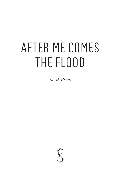## AFTER ME COMES THE FLOOD

*Sarah Perry*

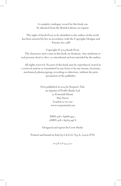A complete catalogue record for this book can be obtained from the British Library on request

The right of Sarah Perry to be identified as the author of this work has been asserted by her in accordance with the Copyright, Designs and Patents Act 1988

Copyright © 2014 Sarah Perry

The characters and events in this book are fictitious. Any similarity to real persons, dead or alive, is coincidental and not intended by the author.

All rights reserved. No part of this book may be reproduced, stored in a retrieval system or transmitted in any form or by any means, electronic, mechanical, photocopying, recording or otherwise, without the prior permission of the publisher.

> First published in 2014 by Serpent's Tail, an imprint of Profile Books Ltd 3a Exmouth House Pine Street London ECIR OTH www.serpentstail.com

> > ISBN 978 1 84668 945 1 eISBN 978 1 84765 946 8

Designed and typeset by Crow Books

Printed and bound in Italy by L.E.G.O. S.p.A., Lavis (TN)

10 9 8 7 6 5 4 3 2 1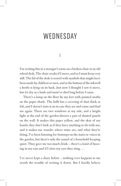## **WEDNESDAY**

I

I'm writing this in a stranger's room on a broken chair at an old school desk. The chair creaks if I move, and so I must keep very still. The lid of the desk is scored with symbols that might have been made by children or men, and at the bottom of the inkwell a beetle is lying on its back. Just now I thought I saw it move, but it's dry as a husk and must've died long before I came.

There's a lamp on the floor by my feet with painted moths on the paper shade. The bulb has a covering of dust thick as felt, and I daren't turn it on in case they see and come and find me again. There are two windows at my side, and a bright light at the end of the garden throws a pair of slanted panels on the wall. It makes this paper yellow, and the skin of my hands: they don't look as if they have anything to do with me, and it makes me wonder where mine are, and what they're doing. I've been listening for footsteps on the stairs or voices in the garden, but there's only the sound of a household keeping quiet. They gave me too much drink – there's a kind of buzzing in my ears and if I close my eyes they sting . . .

I've never kept a diary before – nothing ever happens to me worth the trouble of writing it down. But I hardly believe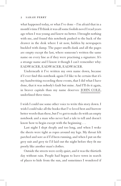what happened today, or what I've done – I'm afraid that in a month's time I'll think it was all some foolish novel I read years ago when I was young and knew no better. I brought nothing with me, and found this notebook pushed to the back of the drawer in the desk where I sit now, hidden by newspapers buckled with damp. The paper smells dank and all the pages are empty except the last, where someone's written the same name on every line as if they were practising a signature. It's a strange name and I know it though I can't remember why: EADWACER, EADWACER, EADWACER.

Underneath it I've written my own name down, because if I ever find this notebook again I'd like to be certain that it's my handwriting recording these events, that I did what I have done, that it was nobody's fault but mine. And I'll do it again, in braver capitals than my name deserves: JOHN COLE, underlined three times.

I wish I could use some other voice to write this story down. I wish I could take all the books that I've loved best and borrow better words than these, but I've got to make do with an empty notebook and a man who never had a tale to tell and doesn't know how to begin except with the beginning . . .

Last night I slept deeply and too long, and when I woke the sheets were tight as ropes around my legs. My throat felt parched and sore as if I'd been running, and when I put on the grey suit and grey tie I'd laid out the night before they fit me poorly like another man's clothes.

Outside the streets were eerily quiet, and it was the thirtieth day without rain. People had begun to leave town in search of places to hide from the sun, and sometimes I wondered if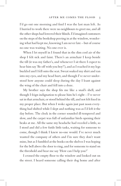I'd go out one morning and find I was the last man left. As I hurried to work there were no neighbours to greet me, and all the other shops had lowered their blinds. I'd imagined customers on the steps of the bookshop peering in at the window, wondering what had kept me, knowing I am never late – but of course no-one was waiting. No-one ever is.

When I let myself in I found that in the dim cool air of the shop I felt sick and faint. There's an armchair I keep beside the till (it was my father's, and whenever I sit there I expect to hear him say 'Be off with you boy!'), and as I reached it my legs buckled and I fell onto the seat. Sweat soaked my shirt and ran into my eyes, and my head hurt, and though I've never understood how anyone could sleep during the day I leant against the wing of the chair and fell into a doze.

My brother says the shop fits me like a snail's shell, and though I feign indignation to please him he's right – I've never sat in that armchair, or stood behind the till, and not felt fixed in my proper place. But when I woke again just past noon everything had shifted while I slept and nothing was as I'd left it the day before. The clock in the corner sounded ill-tempered and slow, and the carpet was full of unfamiliar birds opening their beaks at me. All the same my headache had receded a little, so I stood and did a few futile little tasks, waiting for someone to come, though I think I knew no-one would. I've never much wanted the company of others and I'm sure they don't want mine, but as I fumbled at the books on the shelves I was hoping for the bell above the door to ring, and for someone to stand on the threshold and hear me say 'How can I help you?'

I crossed the empty floor to the window and looked out on the street. I heard someone calling their dog home and after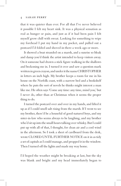that it was quieter than ever. For all that I've never believed it possible I felt my heart sink. It was a physical sensation as real as hunger or pain, and just as if it had been pain I felt myself grow chill with sweat. Looking for something to wipe my forehead I put my hand in my pocket, and pulled out a postcard I'd folded and shoved in there a week ago or more.

It showed a boat stranded on a marsh, and a sunrise so bleak and damp you'd think the artist intended to keep visitors away. On it someone had drawn a stick figure walking in the shallows and beckoning me in. I turned it over and saw a question mark written in green crayon, and under it the name CHRISTOPHER in letters an inch high. My brother keeps a room for me in his house on the Norfolk coast, with a narrow bed and a bookshelf where he puts the sort of novels he thinks might interest a man like me. He often says 'Come any time: any time, mind you,' but I never do, other than at Christmas when it seems the proper thing to do.

I turned the postcard over and over in my hands, and lifted it up as if I could smell salt rising from the marsh. If I went to see my brother, there'd be a houseful of good-natured boys, and my sister-in-law who seems always to be laughing, and my brother who'd sit up into the small hours talking over whisky. But I could put up with all of that, I thought, for clean air and a cool wind in the afternoon. So I took a sheet of cardboard from the desk, wrote CLOSED UNTIL FURTHER NOTICE on it in as tidy a set of capitals as I could manage, and propped it in the window. Then I turned off the lights and made my way home.

I'd hoped the weather might be breaking at last, but the sky was blank and bright and my head immediately began to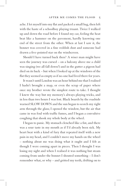ache. I let myself into my flat and packed a small bag, then left with the haste of a schoolboy playing truant. Twice I walked up and down the road before I found my car, feeling the heat beat like a hammer on the pavement, hardly knowing one end of the street from the other. When at last I saw it, the bonnet was covered in a fine reddish dust and someone had drawn a five-pointed star on the windscreen.

Should I have turned back then? A wiser man might have seen the journey was cursed – on a balcony above me a child was singing (we all fall down!) and in the gutter a pigeon had died on its back – but when I looked up at the windows of the flat they seemed as empty as if no-one had lived there for years.

It wasn't until London was an hour behind me that I realised I hadn't brought a map, or even the scrap of paper where once my brother wrote the simplest route to take. I thought I knew the way but my memory's always playing tricks, and in less than two hours I was lost. Black boards by the roadside warned SLOW DOWN and the sun began to scorch my right arm through the glass; I opened the window, but the air that came in was foul with traffic fumes, and I began a convulsive coughing that shook my whole body at the wheel.

I began to panic. My stomach clenched like a fist, and there was a sour taste in my mouth as if I'd already been sick. My heart beat with a kind of fury that repeated itself with a new pain in my head, and I couldn't move my hands on the wheel – nothing about me was doing what it ought and I felt as though I were coming apart in pieces. Then I thought I was losing my sight and when I realised it was nothing but steam coming from under the bonnet I shouted something – I don't remember what, or why – and gritted my teeth, drifting on to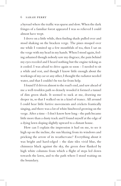a byroad where the traffic was sparse and slow. When the dark fringes of a familiar forest appeared I was so relieved I could almost have wept.

I drove on a little while, then finding shade pulled over and stood shaking on the bracken verge. The pines stooped over me while I vomited up a few mouthfuls of tea, then I sat on the verge with my head in my hands. When I stood again, feeling ashamed though nobody saw my disgrace, the pain behind my eyes receded and I heard nothing but the engine ticking as it cooled. I was afraid to drive again so soon – I needed to sit a while and rest, and though I know little enough about the workings of my car or any other, I thought the radiator needed water, and that I couldn't be too far from help.

I found I'd driven almost to the road's end, and saw ahead of me a well-trodden path so densely wooded it formed a tunnel of dim green shade. It seemed to suck at me, drawing me deeper in, so that I walked on in a kind of trance. All around I could hear little furtive movements and crickets frantically singing, and there was a lot of white bindweed growing on the verge. After a time – I don't know how long – the path became little more than a dusty track and I found myself at the edge of a dying lawn sloping slightly upward to a distant house.

How can I explain the impression it had on me, to see it high up on the incline, the sun blazing from its windows and pricking the arrow of its weathervane? Everything about it was bright and hard-edged – the slate tiles vivid blue, the chimneys black against the sky, the green door flanked by high white columns from which a flight of steps led down towards the lawn, and to the path where I stood waiting on the boundary.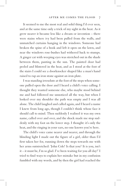It seemed to me the most real and solid thing I'd ever seen, and at the same time only a trick of my sight in the heat. As it grew nearer it became less like a dream or invention – there were stains where ivy had been pulled from the walls, and unmatched curtains hanging in the windows. Someone had broken the spine of a book and left it open on the lawn, and near the windows rose-bushes had withered back to stumps. A ginger cat with weeping eyes was stretched out in the shade between them, panting in the sun. The painted door had peeled and blistered in the heat, and as I stood at the foot of the stairs I could see a doorknocker shaped like a man's hand raised to rap an iron stone against an iron plate.

I was standing irresolute at the foot of the steps when someone pulled open the door and I heard a child's voice calling. I thought they wanted someone else, who maybe stood behind me and had followed me unnoticed all the way, but when I looked over my shoulder the path was empty and I was all alone. The child laughed and called again, and I heard a name I knew from long ago, though I couldn't think whose face it should call to mind. Then suddenly I realised it was my own name, called over and over, and the shock made me stop suddenly with my foot on the lower step. I thought: it's only the heat, and the ringing in your ears, no-one knows you're here.

The child's voice came nearer and nearer, and through the blinding light I made out the figure of a girl, older than I'd first taken her for, running down the steps towards me with her arms outstretched: 'John Cole! Is that you? It is you, isn't it – it must be, I'm so glad. I've been waiting for you all day!' I tried to find ways to explain her mistake but in my confusion fumbled with my words, and by then the girl had reached the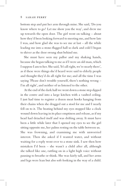bottom step and put her arm through mine. She said, 'Do you know where to go? Let me show you the way', and drew me up towards the open door. The girl went on talking – about how they'd been looking forward to meeting me, and how late I was, and how glad she was to see me at last – all the while leading me into a stone-flagged hall so dark and cold I began to shiver as the door swung shut behind me.

She must have seen my pallor and my shaking hands, because she began talking to me as if I were an old man, which I suppose I am to her. She said, 'It's all right, we're nearly there', as if these were things she'd heard were said to elderly people and thought they'd do all right for me; and all the time I was saying 'Please don't trouble yourself, there's nothing wrong – I'm all right', and neither of us listened to the other.

At the end of the dark hall we went down a stone step dipped in the centre and into a large kitchen with a vaulted ceiling. I just had time to register a dozen meat hooks hanging from their chains when she dragged out a stool for me and I nearly fell on to it. The beating behind my eyes stopped like a clock wound down leaving in its place emptiness and release, as if my head had detached itself and was drifting away. It must have been a little while later that I opened my eyes to see the girl sitting opposite me, her palms resting on the table between us. She was frowning, and examining me with unworried interest. Then she asked if I wanted water, and without waiting for a reply went over to a stone sink. I saw then how mistaken I'd been – she wasn't a child after all, although she talked like one, rattling on in a light high voice without pausing to breathe or think. She was fairly tall, and her arms and legs were lean but also soft-looking in the way of a child.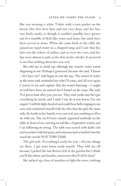She was wearing a white T-shirt with a torn pocket on the breast. Her feet were bare and not very clean, and her face was finely made, as though it couldn't possibly have grown out of a muddle of flesh like yours and mine, but must have been carved in stone. When she came back to the table she passed me tepid water in a chipped mug and I saw that her hair was the colour of amber, and so were her eyes, and her lips were almost as pale as the skin on her cheeks. It occurred to me that nothing about her was real.

She told me to drink up, although the country water tasted disgusting to me. Perhaps I grimaced, because she said, 'I know – let's have tea!' and began to run the tap. The sound of water in the stone sink reminded me why I'd come, and all over again I started to try and explain. But she wasn't listening – I might as well have been an animal she'd found on the steps. She said, 'I've got to look after you, you see. They said: make sure he's got everything he needs, and I said: I can do it you know, I'm not stupid.' I still felt light-headed and could hear bells ringing in my ears, and comforted myself with the idea that the girl, the stone sink, the kettle in her hands, were not real, nor anything at all to do with me. The cat I'd seen outside appeared suddenly on the table in front of me, moving its tail like a hypnotist's watch, and I sat following its swing. The table was scored with knife cuts and scorched with hot pans, and someone had scratched into the wood the words NOT THIS TIME.

The girl said, 'Everything's ready for you – all your things are there. I got your room ready myself. They told me off because I picked the last flowers left in the garden but I think you'll like them and besides, tomorrow they'll all be dead.'

She picked up a box of matches to light the stove, striking